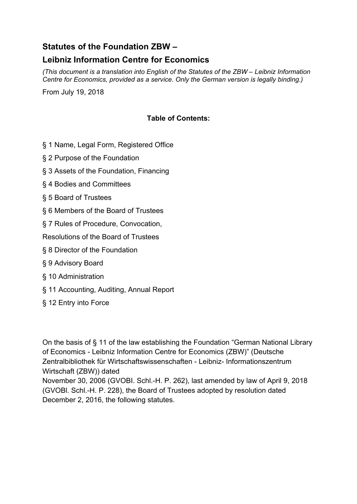# **Statutes of the Foundation ZBW –**

# **Leibniz Information Centre for Economics**

*(This document is a translation into English of the Statutes of the ZBW – Leibniz Information Centre for Economics, provided as a service. Only the German version is legally binding.)* 

From July 19, 2018

## **Table of Contents:**

- § 1 Name, Legal Form, Registered Office
- § 2 Purpose of the Foundation
- § 3 Assets of the Foundation, Financing
- § 4 Bodies and Committees
- § 5 Board of Trustees
- § 6 Members of the Board of Trustees
- § 7 Rules of Procedure, Convocation,

Resolutions of the Board of Trustees

- § 8 Director of the Foundation
- § 9 Advisory Board
- § 10 Administration
- § 11 Accounting, Auditing, Annual Report
- § 12 Entry into Force

On the basis of § 11 of the law establishing the Foundation "German National Library of Economics - Leibniz Information Centre for Economics (ZBW)" (Deutsche Zentralbibliothek für Wirtschaftswissenschaften - Leibniz- Informationszentrum Wirtschaft (ZBW)) dated

November 30, 2006 (GVOBI. Schl.-H. P. 262), last amended by law of April 9, 2018 (GVOBl. Schl.-H. P. 228), the Board of Trustees adopted by resolution dated December 2, 2016, the following statutes.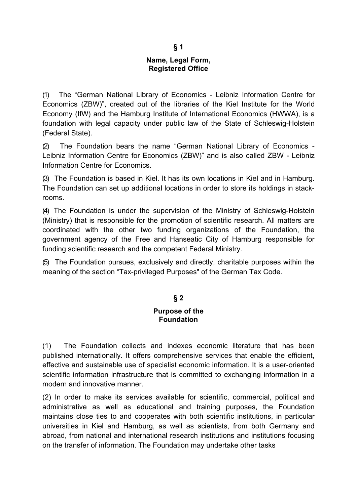#### **Name, Legal Form, Registered Office**

(1) The "German National Library of Economics - Leibniz Information Centre for Economics (ZBW)", created out of the libraries of the Kiel Institute for the World Economy (IfW) and the Hamburg Institute of International Economics (HWWA), is a foundation with legal capacity under public law of the State of Schleswig-Holstein (Federal State).

(2) The Foundation bears the name "German National Library of Economics - Leibniz Information Centre for Economics (ZBW)" and is also called ZBW - Leibniz Information Centre for Economics.

(3) The Foundation is based in Kiel. It has its own locations in Kiel and in Hamburg. The Foundation can set up additional locations in order to store its holdings in stackrooms.

(4) The Foundation is under the supervision of the Ministry of Schleswig-Holstein (Ministry) that is responsible for the promotion of scientific research. All matters are coordinated with the other two funding organizations of the Foundation, the government agency of the Free and Hanseatic City of Hamburg responsible for funding scientific research and the competent Federal Ministry.

(5) The Foundation pursues, exclusively and directly, charitable purposes within the meaning of the section "Tax-privileged Purposes" of the German Tax Code.

#### **§ 2**

#### **Purpose of the Foundation**

(1) The Foundation collects and indexes economic literature that has been published internationally. It offers comprehensive services that enable the efficient, effective and sustainable use of specialist economic information. It is a user-oriented scientific information infrastructure that is committed to exchanging information in a modern and innovative manner.

(2) In order to make its services available for scientific, commercial, political and administrative as well as educational and training purposes, the Foundation maintains close ties to and cooperates with both scientific institutions, in particular universities in Kiel and Hamburg, as well as scientists, from both Germany and abroad, from national and international research institutions and institutions focusing on the transfer of information. The Foundation may undertake other tasks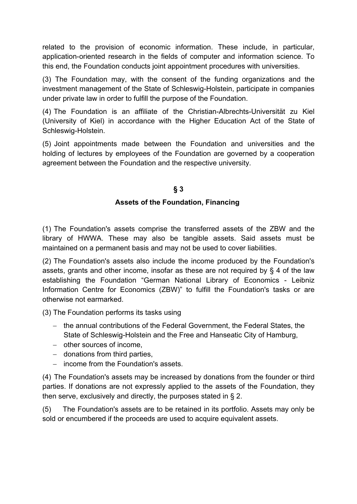related to the provision of economic information. These include, in particular, application-oriented research in the fields of computer and information science. To this end, the Foundation conducts joint appointment procedures with universities.

(3) The Foundation may, with the consent of the funding organizations and the investment management of the State of Schleswig-Holstein, participate in companies under private law in order to fulfill the purpose of the Foundation.

(4) The Foundation is an affiliate of the Christian-Albrechts-Universität zu Kiel (University of Kiel) in accordance with the Higher Education Act of the State of Schleswig-Holstein.

(5) Joint appointments made between the Foundation and universities and the holding of lectures by employees of the Foundation are governed by a cooperation agreement between the Foundation and the respective university.

#### **§ 3**

## **Assets of the Foundation, Financing**

(1) The Foundation's assets comprise the transferred assets of the ZBW and the library of HWWA. These may also be tangible assets. Said assets must be maintained on a permanent basis and may not be used to cover liabilities.

(2) The Foundation's assets also include the income produced by the Foundation's assets, grants and other income, insofar as these are not required by § 4 of the law establishing the Foundation "German National Library of Economics - Leibniz Information Centre for Economics (ZBW)" to fulfill the Foundation's tasks or are otherwise not earmarked.

(3) The Foundation performs its tasks using

- the annual contributions of the Federal Government, the Federal States, the State of Schleswig-Holstein and the Free and Hanseatic City of Hamburg,
- other sources of income.
- $-$  donations from third parties.
- income from the Foundation's assets.

(4) The Foundation's assets may be increased by donations from the founder or third parties. If donations are not expressly applied to the assets of the Foundation, they then serve, exclusively and directly, the purposes stated in § 2.

(5) The Foundation's assets are to be retained in its portfolio. Assets may only be sold or encumbered if the proceeds are used to acquire equivalent assets.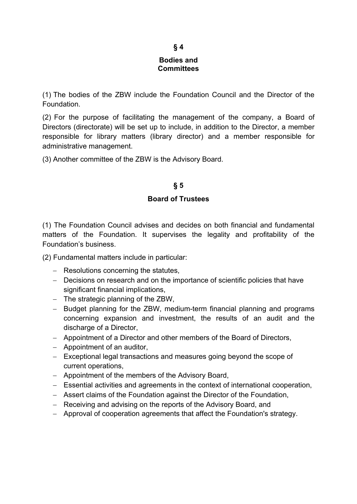#### **Bodies and Committees**

(1) The bodies of the ZBW include the Foundation Council and the Director of the Foundation.

(2) For the purpose of facilitating the management of the company, a Board of Directors (directorate) will be set up to include, in addition to the Director, a member responsible for library matters (library director) and a member responsible for administrative management.

(3) Another committee of the ZBW is the Advisory Board.

# **§ 5**

#### **Board of Trustees**

(1) The Foundation Council advises and decides on both financial and fundamental matters of the Foundation. It supervises the legality and profitability of the Foundation's business.

(2) Fundamental matters include in particular:

- $-$  Resolutions concerning the statutes,
- Decisions on research and on the importance of scientific policies that have significant financial implications,
- $-$  The strategic planning of the ZBW,
- Budget planning for the ZBW, medium-term financial planning and programs concerning expansion and investment, the results of an audit and the discharge of a Director,
- Appointment of a Director and other members of the Board of Directors,
- Appointment of an auditor,
- Exceptional legal transactions and measures going beyond the scope of current operations,
- Appointment of the members of the Advisory Board,
- Essential activities and agreements in the context of international cooperation,
- Assert claims of the Foundation against the Director of the Foundation,
- Receiving and advising on the reports of the Advisory Board, and
- Approval of cooperation agreements that affect the Foundation's strategy.

### **§ 4**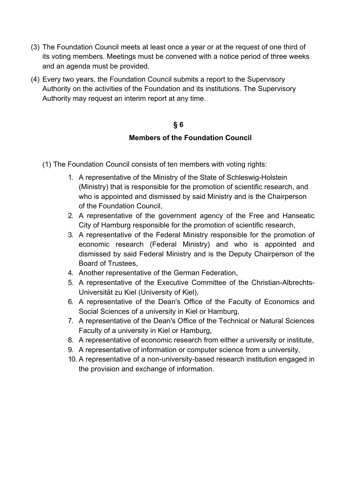- (3) The Foundation Council meets at least once a year or at the request of one third of its voting members. Meetings must be convened with a notice period of three weeks and an agenda must be provided.
- (4) Every two years, the Foundation Council submits a report to the Supervisory Authority on the activities of the Foundation and its institutions. The Supervisory Authority may request an interim report at any time.

## **§ 6**

## **Members of the Foundation Council**

- (1) The Foundation Council consists of ten members with voting rights:
	- 1. A representative of the Ministry of the State of Schleswig-Holstein (Ministry) that is responsible for the promotion of scientific research, and who is appointed and dismissed by said Ministry and is the Chairperson of the Foundation Council,
	- 2. A representative of the government agency of the Free and Hanseatic City of Hamburg responsible for the promotion of scientific research,
	- 3. A representative of the Federal Ministry responsible for the promotion of economic research (Federal Ministry) and who is appointed and dismissed by said Federal Ministry and is the Deputy Chairperson of the Board of Trustees,
	- 4. Another representative of the German Federation,
	- 5. A representative of the Executive Committee of the Christian-Albrechts-Universität zu Kiel (University of Kiel),
	- 6. A representative of the Dean's Office of the Faculty of Economics and Social Sciences of a university in Kiel or Hamburg,
	- 7. A representative of the Dean's Office of the Technical or Natural Sciences Faculty of a university in Kiel or Hamburg,
	- 8. A representative of economic research from either a university or institute,
	- 9. A representative of information or computer science from a university,
	- 10. A representative of a non-university-based research institution engaged in the provision and exchange of information.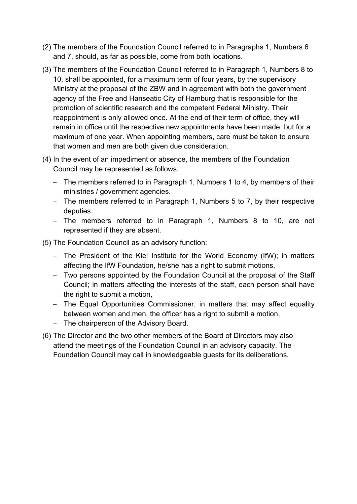- (2) The members of the Foundation Council referred to in Paragraphs 1, Numbers 6 and 7, should, as far as possible, come from both locations.
- (3) The members of the Foundation Council referred to in Paragraph 1, Numbers 8 to 10, shall be appointed, for a maximum term of four years, by the supervisory Ministry at the proposal of the ZBW and in agreement with both the government agency of the Free and Hanseatic City of Hamburg that is responsible for the promotion of scientific research and the competent Federal Ministry. Their reappointment is only allowed once. At the end of their term of office, they will remain in office until the respective new appointments have been made, but for a maximum of one year. When appointing members, care must be taken to ensure that women and men are both given due consideration.
- (4) In the event of an impediment or absence, the members of the Foundation Council may be represented as follows:
	- The members referred to in Paragraph 1, Numbers 1 to 4, by members of their ministries / government agencies.
	- $-$  The members referred to in Paragraph 1, Numbers 5 to 7, by their respective deputies.
	- The members referred to in Paragraph 1, Numbers 8 to 10, are not represented if they are absent.

(5) The Foundation Council as an advisory function:

- The President of the Kiel Institute for the World Economy (IfW); in matters affecting the IfW Foundation, he/she has a right to submit motions,
- Two persons appointed by the Foundation Council at the proposal of the Staff Council; in matters affecting the interests of the staff, each person shall have the right to submit a motion,
- The Equal Opportunities Commissioner, in matters that may affect equality between women and men, the officer has a right to submit a motion,
- The chairperson of the Advisory Board.
- (6) The Director and the two other members of the Board of Directors may also attend the meetings of the Foundation Council in an advisory capacity. The Foundation Council may call in knowledgeable guests for its deliberations.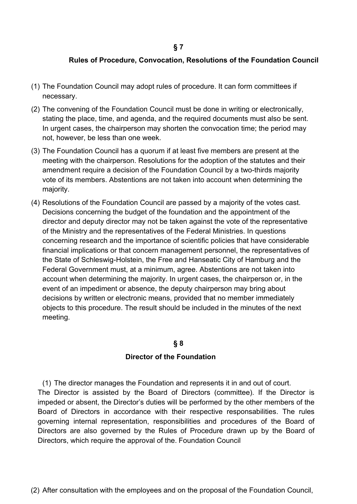#### **Rules of Procedure, Convocation, Resolutions of the Foundation Council**

- (1) The Foundation Council may adopt rules of procedure. It can form committees if necessary.
- (2) The convening of the Foundation Council must be done in writing or electronically, stating the place, time, and agenda, and the required documents must also be sent. In urgent cases, the chairperson may shorten the convocation time; the period may not, however, be less than one week.
- (3) The Foundation Council has a quorum if at least five members are present at the meeting with the chairperson. Resolutions for the adoption of the statutes and their amendment require a decision of the Foundation Council by a two-thirds majority vote of its members. Abstentions are not taken into account when determining the majority.
- (4) Resolutions of the Foundation Council are passed by a majority of the votes cast. Decisions concerning the budget of the foundation and the appointment of the director and deputy director may not be taken against the vote of the representative of the Ministry and the representatives of the Federal Ministries. In questions concerning research and the importance of scientific policies that have considerable financial implications or that concern management personnel, the representatives of the State of Schleswig-Holstein, the Free and Hanseatic City of Hamburg and the Federal Government must, at a minimum, agree. Abstentions are not taken into account when determining the majority. In urgent cases, the chairperson or, in the event of an impediment or absence, the deputy chairperson may bring about decisions by written or electronic means, provided that no member immediately objects to this procedure. The result should be included in the minutes of the next meeting.

#### **§ 8**

#### **Director of the Foundation**

(1) The director manages the Foundation and represents it in and out of court. The Director is assisted by the Board of Directors (committee). If the Director is impeded or absent, the Director's duties will be performed by the other members of the Board of Directors in accordance with their respective responsabilities. The rules governing internal representation, responsibilities and procedures of the Board of Directors are also governed by the Rules of Procedure drawn up by the Board of Directors, which require the approval of the. Foundation Council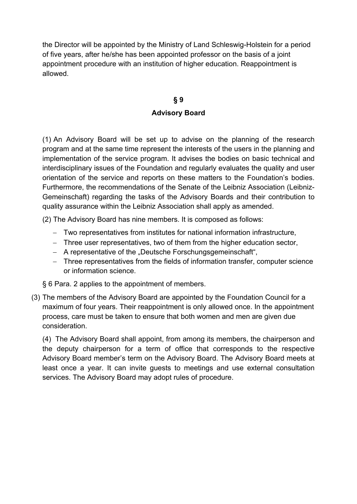the Director will be appointed by the Ministry of Land Schleswig-Holstein for a period of five years, after he/she has been appointed professor on the basis of a joint appointment procedure with an institution of higher education. Reappointment is allowed.

# **§ 9 Advisory Board**

(1) An Advisory Board will be set up to advise on the planning of the research program and at the same time represent the interests of the users in the planning and implementation of the service program. It advises the bodies on basic technical and interdisciplinary issues of the Foundation and regularly evaluates the quality and user orientation of the service and reports on these matters to the Foundation's bodies. Furthermore, the recommendations of the Senate of the Leibniz Association (Leibniz-Gemeinschaft) regarding the tasks of the Advisory Boards and their contribution to quality assurance within the Leibniz Association shall apply as amended.

(2) The Advisory Board has nine members. It is composed as follows:

- Two representatives from institutes for national information infrastructure,
- Three user representatives, two of them from the higher education sector,
- A representative of the "Deutsche Forschungsgemeinschaft",
- Three representatives from the fields of information transfer, computer science or information science.

§ 6 Para. 2 applies to the appointment of members.

(3) The members of the Advisory Board are appointed by the Foundation Council for a maximum of four years. Their reappointment is only allowed once. In the appointment process, care must be taken to ensure that both women and men are given due consideration.

(4) The Advisory Board shall appoint, from among its members, the chairperson and the deputy chairperson for a term of office that corresponds to the respective Advisory Board member's term on the Advisory Board. The Advisory Board meets at least once a year. It can invite guests to meetings and use external consultation services. The Advisory Board may adopt rules of procedure.